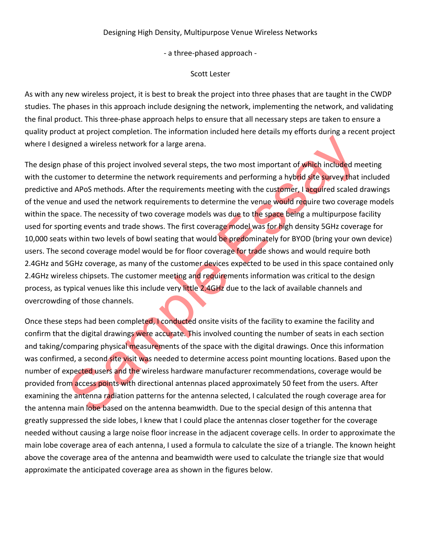## Designing High Density, Multipurpose Venue Wireless Networks

- a three-phased approach -

## Scott Lester

As with any new wireless project, it is best to break the project into three phases that are taught in the CWDP studies. The phases in this approach include designing the network, implementing the network, and validating the final product. This three-phase approach helps to ensure that all necessary steps are taken to ensure a quality product at project completion. The information included here details my efforts during a recent project where I designed a wireless network for a large arena.

gned a wireless network for a large arena.<br>
shase of this project involved several steps, the two most important of which included metomer to determine the network requirements and performing a hybrid site survey that ind The design phase of this project involved several steps, the two most important of which included meeting with the customer to determine the network requirements and performing a hybrid site survey that included predictive and APoS methods. After the requirements meeting with the customer, I acquired scaled drawings of the venue and used the network requirements to determine the venue would require two coverage models within the space. The necessity of two coverage models was due to the space being a multipurpose facility used for sporting events and trade shows. The first coverage model was for high density 5GHz coverage for 10,000 seats within two levels of bowl seating that would be predominately for BYOD (bring your own device) users. The second coverage model would be for floor coverage for trade shows and would require both 2.4GHz and 5GHz coverage, as many of the customer devices expected to be used in this space contained only 2.4GHz wireless chipsets. The customer meeting and requirements information was critical to the design process, as typical venues like this include very little 2.4GHz due to the lack of available channels and overcrowding of those channels.

Once these steps had been completed, I conducted onsite visits of the facility to examine the facility and confirm that the digital drawings were accurate. This involved counting the number of seats in each section and taking/comparing physical measurements of the space with the digital drawings. Once this information was confirmed, a second site visit was needed to determine access point mounting locations. Based upon the number of expected users and the wireless hardware manufacturer recommendations, coverage would be provided from access points with directional antennas placed approximately 50 feet from the users. After examining the antenna radiation patterns for the antenna selected, I calculated the rough coverage area for the antenna main lobe based on the antenna beamwidth. Due to the special design of this antenna that greatly suppressed the side lobes, I knew that I could place the antennas closer together for the coverage needed without causing a large noise floor increase in the adjacent coverage cells. In order to approximate the main lobe coverage area of each antenna, I used a formula to calculate the size of a triangle. The known height above the coverage area of the antenna and beamwidth were used to calculate the triangle size that would approximate the anticipated coverage area as shown in the figures below.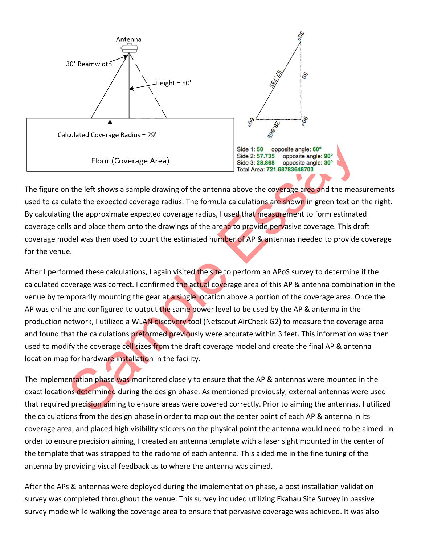

The figure on the left shows a sample drawing of the antenna above the coverage area and the measurements used to calculate the expected coverage radius. The formula calculations are shown in green text on the right. By calculating the approximate expected coverage radius, I used that measurement to form estimated coverage cells and place them onto the drawings of the arena to provide pervasive coverage. This draft coverage model was then used to count the estimated number of AP & antennas needed to provide coverage for the venue.

Eloor (Coverage Area)<br>
Side 1: 50 opposite angle: 60<br>
Side 2: 87.735 opposite angle: 60<br>
Side 2: 87.735 opposite angle: 39<br>
Side 2: 87.735 opposite angle: 39<br>
Total Area: 721.68783648703<br>
Jotal Area: 721.68783648703<br>
Jotal After I performed these calculations, I again visited the site to perform an APoS survey to determine if the calculated coverage was correct. I confirmed the actual coverage area of this AP & antenna combination in the venue by temporarily mounting the gear at a single location above a portion of the coverage area. Once the AP was online and configured to output the same power level to be used by the AP & antenna in the production network, I utilized a WLAN discovery tool (Netscout AirCheck G2) to measure the coverage area and found that the calculations preformed previously were accurate within 3 feet. This information was then used to modify the coverage cell sizes from the draft coverage model and create the final AP & antenna location map for hardware installation in the facility.

The implementation phase was monitored closely to ensure that the AP & antennas were mounted in the exact locations determined during the design phase. As mentioned previously, external antennas were used that required precision aiming to ensure areas were covered correctly. Prior to aiming the antennas, I utilized the calculations from the design phase in order to map out the center point of each AP & antenna in its coverage area, and placed high visibility stickers on the physical point the antenna would need to be aimed. In order to ensure precision aiming, I created an antenna template with a laser sight mounted in the center of the template that was strapped to the radome of each antenna. This aided me in the fine tuning of the antenna by providing visual feedback as to where the antenna was aimed.

After the APs & antennas were deployed during the implementation phase, a post installation validation survey was completed throughout the venue. This survey included utilizing Ekahau Site Survey in passive survey mode while walking the coverage area to ensure that pervasive coverage was achieved. It was also